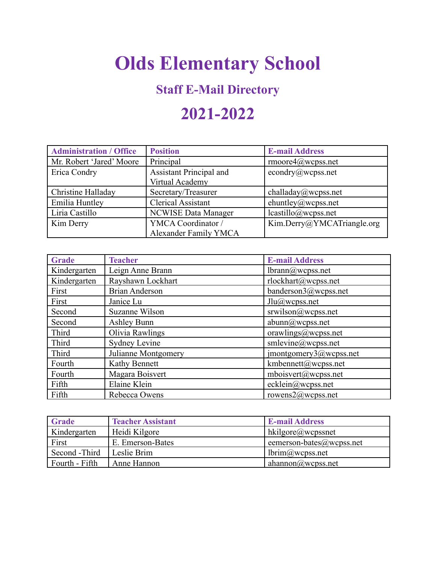# **Olds Elementary School**

### **Staff E-Mail Directory**

## **2021-2022**

| <b>Administration / Office</b> | <b>Position</b>                | <b>E-mail Address</b>      |
|--------------------------------|--------------------------------|----------------------------|
| Mr. Robert 'Jared' Moore       | Principal                      | $r$ moore $4$ @wcpss.net   |
| Erica Condry                   | <b>Assistant Principal and</b> | econdry@wcpss.net          |
|                                | Virtual Academy                |                            |
| Christine Halladay             | Secretary/Treasurer            | challaday@wcpss.net        |
| Emilia Huntley                 | <b>Clerical Assistant</b>      | ehuntley@wcpss.net         |
| Liria Castillo                 | <b>NCWISE Data Manager</b>     | lcastillo@wepss.net        |
| Kim Derry                      | YMCA Coordinator /             | Kim.Derry@YMCATriangle.org |
|                                | Alexander Family YMCA          |                            |

| <b>Grade</b> | <b>Teacher</b>        | <b>E-mail Address</b>  |
|--------------|-----------------------|------------------------|
| Kindergarten | Leign Anne Brann      | lbrann@wcpss.net       |
| Kindergarten | Rayshawn Lockhart     | rlockhart@wcpss.net    |
| First        | <b>Brian Anderson</b> | banderson3@wcpss.net   |
| First        | Janice Lu             | $Jlu@$ wcpss.net       |
| Second       | Suzanne Wilson        | srwilson@wepss.net     |
| Second       | <b>Ashley Bunn</b>    | abunn@wcpss.net        |
| Third        | Olivia Rawlings       | orawlings@wcpss.net    |
| Third        | <b>Sydney Levine</b>  | smlevine@wcpss.net     |
| Third        | Julianne Montgomery   | imontgomery3@wcpss.net |
| Fourth       | Kathy Bennett         | kmbennett@wcpss.net    |
| Fourth       | Magara Boisvert       | mboisvert@wepss.net    |
| Fifth        | Elaine Klein          | ecklein@wcpss.net      |
| Fifth        | Rebecca Owens         | rowens $2@$ wcpss.net  |

| <b>Grade</b>   | <b>Teacher Assistant</b> | <b>E-mail Address</b>        |
|----------------|--------------------------|------------------------------|
| Kindergarten   | Heidi Kilgore            | hkilgore@wcpssnet            |
| First          | E. Emerson-Bates         | eemerson-bates $@$ wcpss.net |
| Second - Third | Leslie Brim              | lbrim@wepss.net              |
| Fourth - Fifth | Anne Hannon              | ahannon@wepss.net            |